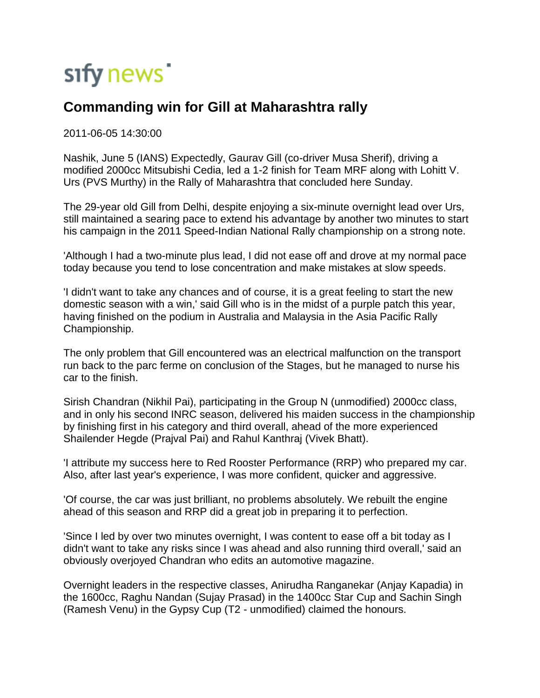## sify news

## **Commanding win for Gill at Maharashtra rally**

2011-06-05 14:30:00

Nashik, June 5 (IANS) Expectedly, Gaurav Gill (co-driver Musa Sherif), driving a modified 2000cc Mitsubishi Cedia, led a 1-2 finish for Team MRF along with Lohitt V. Urs (PVS Murthy) in the Rally of Maharashtra that concluded here Sunday.

The 29-year old Gill from Delhi, despite enjoying a six-minute overnight lead over Urs, still maintained a searing pace to extend his advantage by another two minutes to start his campaign in the 2011 Speed-Indian National Rally championship on a strong note.

'Although I had a two-minute plus lead, I did not ease off and drove at my normal pace today because you tend to lose concentration and make mistakes at slow speeds.

'I didn't want to take any chances and of course, it is a great feeling to start the new domestic season with a win,' said Gill who is in the midst of a purple patch this year, having finished on the podium in Australia and Malaysia in the Asia Pacific Rally Championship.

The only problem that Gill encountered was an electrical malfunction on the transport run back to the parc ferme on conclusion of the Stages, but he managed to nurse his car to the finish.

Sirish Chandran (Nikhil Pai), participating in the Group N (unmodified) 2000cc class, and in only his second INRC season, delivered his maiden success in the championship by finishing first in his category and third overall, ahead of the more experienced Shailender Hegde (Prajval Pai) and Rahul Kanthraj (Vivek Bhatt).

'I attribute my success here to Red Rooster Performance (RRP) who prepared my car. Also, after last year's experience, I was more confident, quicker and aggressive.

'Of course, the car was just brilliant, no problems absolutely. We rebuilt the engine ahead of this season and RRP did a great job in preparing it to perfection.

'Since I led by over two minutes overnight, I was content to ease off a bit today as I didn't want to take any risks since I was ahead and also running third overall,' said an obviously overjoyed Chandran who edits an automotive magazine.

Overnight leaders in the respective classes, Anirudha Ranganekar (Anjay Kapadia) in the 1600cc, Raghu Nandan (Sujay Prasad) in the 1400cc Star Cup and Sachin Singh (Ramesh Venu) in the Gypsy Cup (T2 - unmodified) claimed the honours.